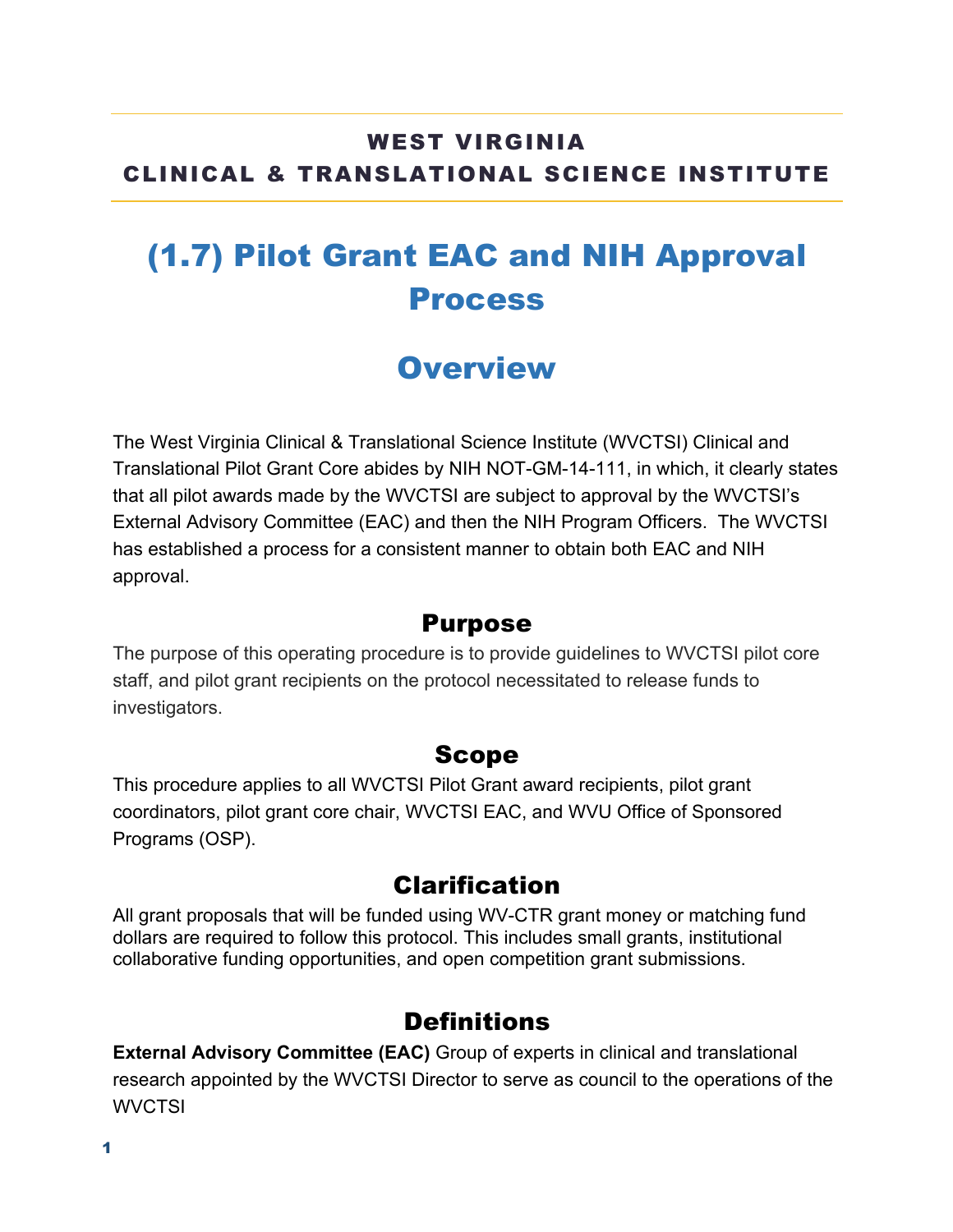### WEST VIRGINIA CLINICAL & TRANSLATIONAL SCIENCE INSTITUTE

# (1.7) Pilot Grant EAC and NIH Approval Process

# **Overview**

The West Virginia Clinical & Translational Science Institute (WVCTSI) Clinical and Translational Pilot Grant Core abides by NIH NOT-GM-14-111, in which, it clearly states that all pilot awards made by the WVCTSI are subject to approval by the WVCTSI's External Advisory Committee (EAC) and then the NIH Program Officers. The WVCTSI has established a process for a consistent manner to obtain both EAC and NIH approval.

#### Purpose

The purpose of this operating procedure is to provide guidelines to WVCTSI pilot core staff, and pilot grant recipients on the protocol necessitated to release funds to investigators.

#### Scope

This procedure applies to all WVCTSI Pilot Grant award recipients, pilot grant coordinators, pilot grant core chair, WVCTSI EAC, and WVU Office of Sponsored Programs (OSP).

#### Clarification

All grant proposals that will be funded using WV-CTR grant money or matching fund dollars are required to follow this protocol. This includes small grants, institutional collaborative funding opportunities, and open competition grant submissions.

#### **Definitions**

**External Advisory Committee (EAC)** Group of experts in clinical and translational research appointed by the WVCTSI Director to serve as council to the operations of the **WVCTSI**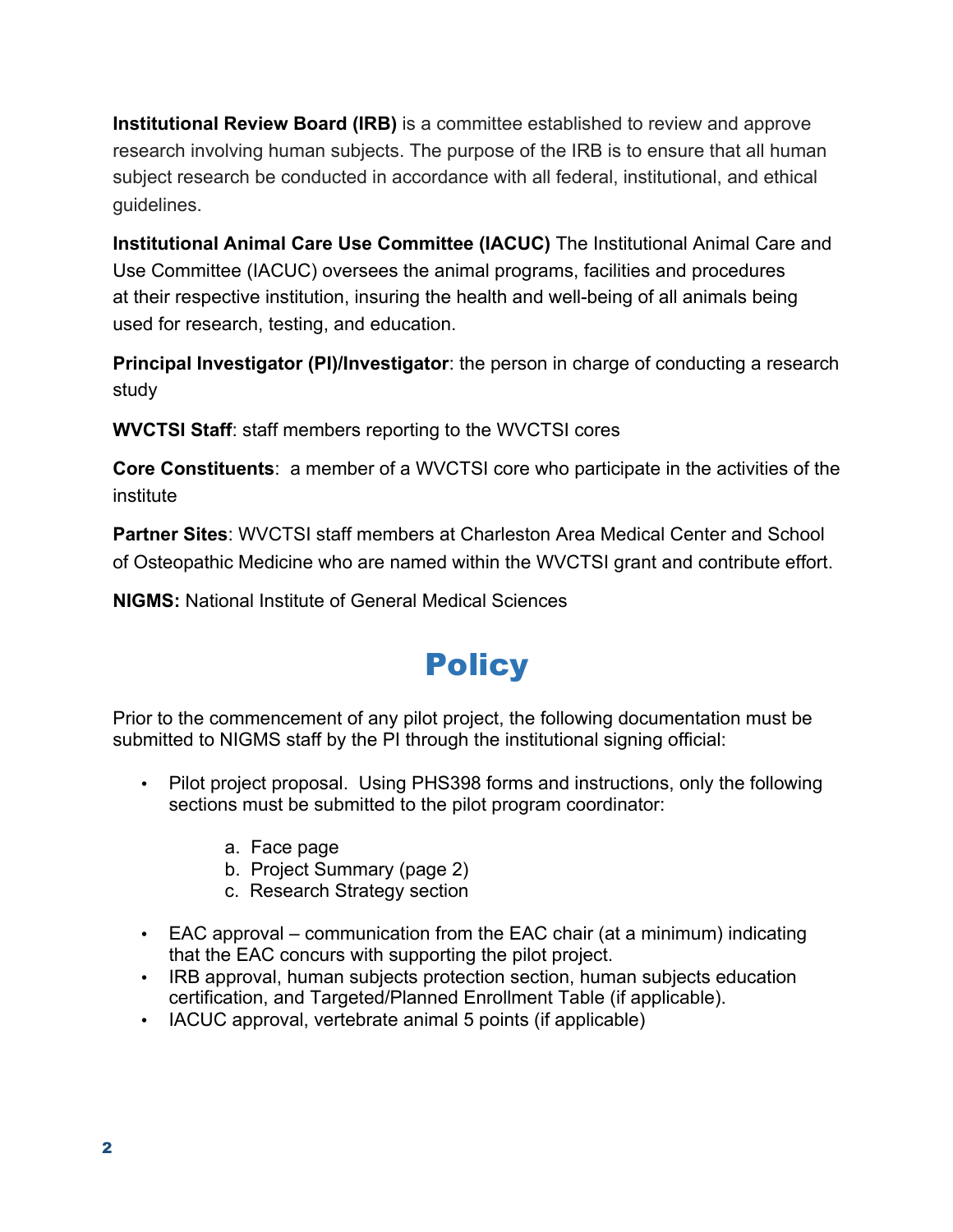**Institutional Review Board (IRB)** is a committee established to review and approve research involving human subjects. The purpose of the IRB is to ensure that all human subject research be conducted in accordance with all federal, institutional, and ethical guidelines.

**Institutional Animal Care Use Committee (IACUC)** The Institutional Animal Care and Use Committee (IACUC) oversees the animal programs, facilities and procedures at their respective institution, insuring the health and well-being of all animals being used for research, testing, and education.

**Principal Investigator (PI)/Investigator**: the person in charge of conducting a research study

**WVCTSI Staff**: staff members reporting to the WVCTSI cores

**Core Constituents**: a member of a WVCTSI core who participate in the activities of the institute

**Partner Sites**: WVCTSI staff members at Charleston Area Medical Center and School of Osteopathic Medicine who are named within the WVCTSI grant and contribute effort.

**NIGMS:** National Institute of General Medical Sciences

# **Policy**

Prior to the commencement of any pilot project, the following documentation must be submitted to NIGMS staff by the PI through the institutional signing official:

- Pilot project proposal. Using PHS398 forms and instructions, only the following sections must be submitted to the pilot program coordinator:
	- a. Face page
	- b. Project Summary (page 2)
	- c. Research Strategy section
- EAC approval communication from the EAC chair (at a minimum) indicating that the EAC concurs with supporting the pilot project.
- IRB approval, human subjects protection section, human subjects education certification, and Targeted/Planned Enrollment Table (if applicable).
- IACUC approval, vertebrate animal 5 points (if applicable)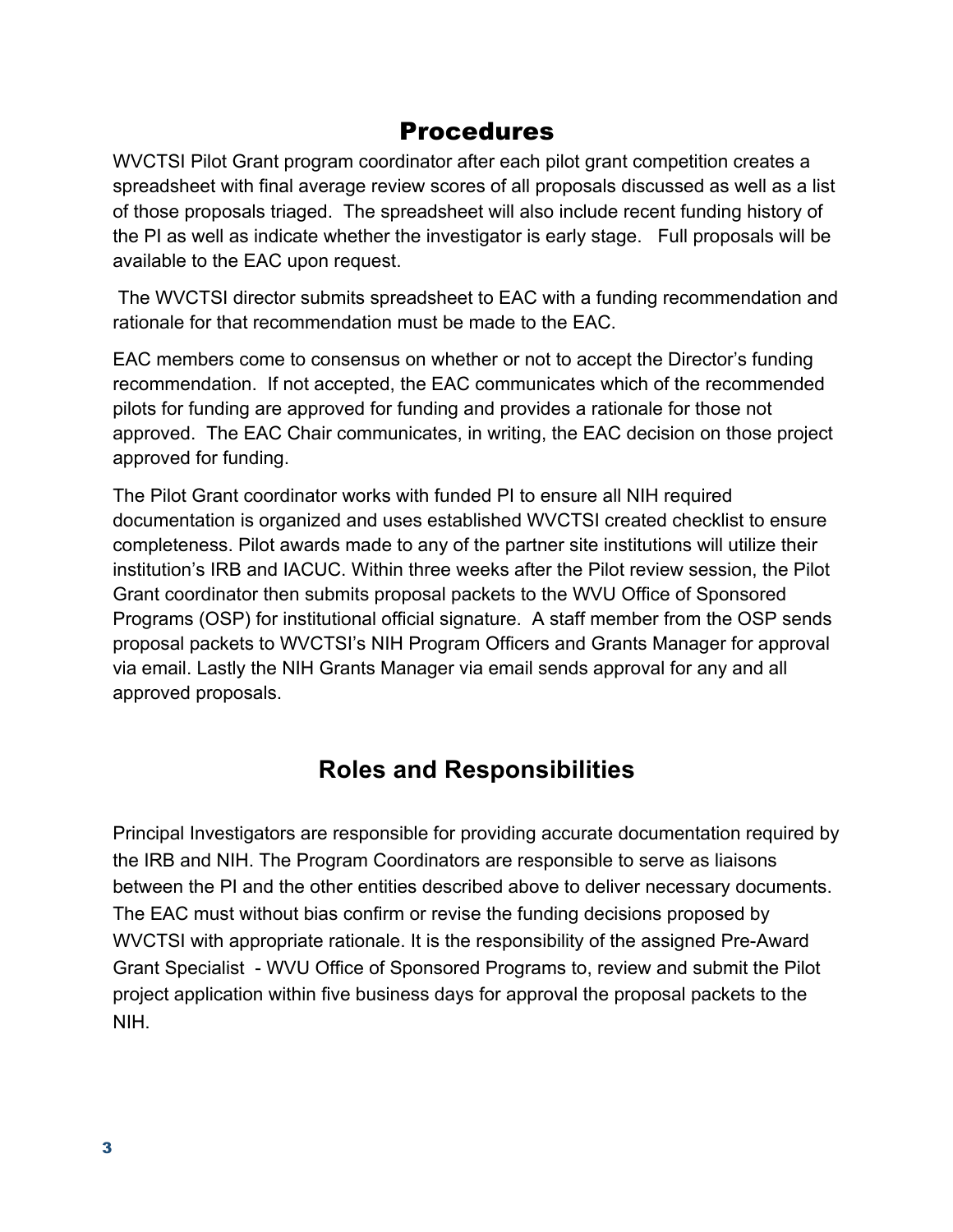### Procedures

WVCTSI Pilot Grant program coordinator after each pilot grant competition creates a spreadsheet with final average review scores of all proposals discussed as well as a list of those proposals triaged. The spreadsheet will also include recent funding history of the PI as well as indicate whether the investigator is early stage. Full proposals will be available to the EAC upon request.

The WVCTSI director submits spreadsheet to EAC with a funding recommendation and rationale for that recommendation must be made to the EAC.

EAC members come to consensus on whether or not to accept the Director's funding recommendation. If not accepted, the EAC communicates which of the recommended pilots for funding are approved for funding and provides a rationale for those not approved. The EAC Chair communicates, in writing, the EAC decision on those project approved for funding.

The Pilot Grant coordinator works with funded PI to ensure all NIH required documentation is organized and uses established WVCTSI created checklist to ensure completeness. Pilot awards made to any of the partner site institutions will utilize their institution's IRB and IACUC. Within three weeks after the Pilot review session, the Pilot Grant coordinator then submits proposal packets to the WVU Office of Sponsored Programs (OSP) for institutional official signature. A staff member from the OSP sends proposal packets to WVCTSI's NIH Program Officers and Grants Manager for approval via email. Lastly the NIH Grants Manager via email sends approval for any and all approved proposals.

## **Roles and Responsibilities**

Principal Investigators are responsible for providing accurate documentation required by the IRB and NIH. The Program Coordinators are responsible to serve as liaisons between the PI and the other entities described above to deliver necessary documents. The EAC must without bias confirm or revise the funding decisions proposed by WVCTSI with appropriate rationale. It is the responsibility of the assigned Pre-Award Grant Specialist - WVU Office of Sponsored Programs to, review and submit the Pilot project application within five business days for approval the proposal packets to the NIH.